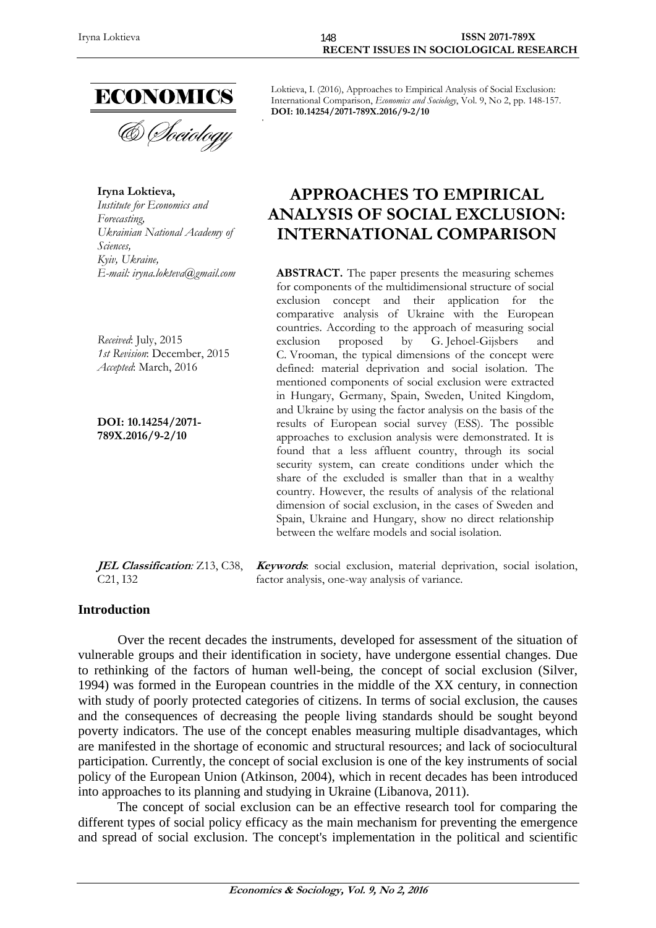

**Iryna Loktieva,**  *Institute for Economics and Forecasting, Ukrainian National Academy of Sciences, Kyiv, Ukraine,* 

*Received*: July, 2015 *1st Revision*: December, 2015 *Accepted*: March, 2016

**DOI: 10.14254/2071- 789X.2016/9-2/10**

**JEL Classification***:* Z13, C38, C21, I32

Loktieva, I. (2016), Approaches to Empirical Analysis of Social Exclusion: International Comparison, *Economics and Sociology*, Vol. 9, No 2, pp. 148-157. **DOI: 10.14254/2071-789X.2016/9-2/10** 

# **APPROACHES TO EMPIRICAL ANALYSIS OF SOCIAL EXCLUSION: INTERNATIONAL COMPARISON**

*E-mail: iryna.lokteva@gmail.com* **ABSTRACT.** The paper presents the measuring schemes for components of the multidimensional structure of social exclusion concept and their application for the comparative analysis of Ukraine with the European countries. According to the approach of measuring social exclusion proposed by G. Jehoel-Gijsbers and C. Vrooman, the typical dimensions of the concept were defined: material deprivation and social isolation. The mentioned components of social exclusion were extracted in Hungary, Germany, Spain, Sweden, United Kingdom, and Ukraine by using the factor analysis on the basis of the results of European social survey (ESS). The possible approaches to exclusion analysis were demonstrated. It is found that a less affluent country, through its social security system, can create conditions under which the share of the excluded is smaller than that in a wealthy country. However, the results of analysis of the relational dimension of social exclusion, in the cases of Sweden and Spain, Ukraine and Hungary, show no direct relationship between the welfare models and social isolation.

> **Keywords**: social exclusion, material deprivation, social isolation, factor analysis, one-way analysis of variance.

#### **Introduction**

Over the recent decades the instruments, developed for assessment of the situation of vulnerable groups and their identification in society, have undergone essential changes. Due to rethinking of the factors of human well-being, the concept of social exclusion (Silver, 1994) was formed in the European countries in the middle of the XX century, in connection with study of poorly protected categories of citizens. In terms of social exclusion, the causes and the consequences of decreasing the people living standards should be sought beyond poverty indicators. The use of the concept enables measuring multiple disadvantages, which are manifested in the shortage of economic and structural resources; and lack of sociocultural participation. Currently, the concept of social exclusion is one of the key instruments of social policy of the European Union (Atkinson, 2004), which in recent decades has been introduced into approaches to its planning and studying in Ukraine (Libanova, 2011).

The concept of social exclusion can be an effective research tool for comparing the different types of social policy efficacy as the main mechanism for preventing the emergence and spread of social exclusion. The concept's implementation in the political and scientific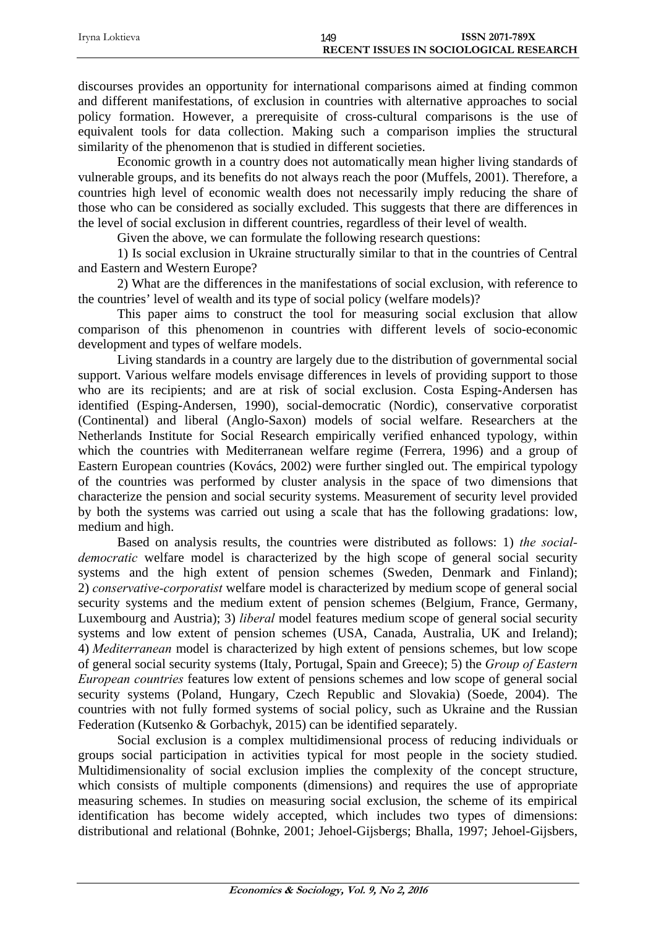| Irvna Loktieva | 149                                    | <b>ISSN 2071-789X</b> |
|----------------|----------------------------------------|-----------------------|
|                | RECENT ISSUES IN SOCIOLOGICAL RESEARCH |                       |

discourses provides an opportunity for international comparisons aimed at finding common and different manifestations, of exclusion in countries with alternative approaches to social policy formation. However, a prerequisite of cross-cultural comparisons is the use of equivalent tools for data collection. Making such a comparison implies the structural similarity of the phenomenon that is studied in different societies.

Economic growth in a country does not automatically mean higher living standards of vulnerable groups, and its benefits do not always reach the poor (Muffels, 2001). Therefore, a countries high level of economic wealth does not necessarily imply reducing the share of those who can be considered as socially excluded. This suggests that there are differences in the level of social exclusion in different countries, regardless of their level of wealth.

Given the above, we can formulate the following research questions:

1) Is social exclusion in Ukraine structurally similar to that in the countries of Central and Eastern and Western Europe?

2) What are the differences in the manifestations of social exclusion, with reference to the countries' level of wealth and its type of social policy (welfare models)?

This paper aims to construct the tool for measuring social exclusion that allow comparison of this phenomenon in countries with different levels of socio-economic development and types of welfare models.

Living standards in a country are largely due to the distribution of governmental social support. Various welfare models envisage differences in levels of providing support to those who are its recipients; and are at risk of social exclusion. Costa Esping-Andersen has identified (Esping-Andersen, 1990), social-democratic (Nordic), conservative corporatist (Continental) and liberal (Anglo-Saxon) models of social welfare. Researchers at the Netherlands Institute for Social Research empirically verified enhanced typology, within which the countries with Mediterranean welfare regime (Ferrera, 1996) and a group of Eastern European countries (Kovács, 2002) were further singled out. The empirical typology of the countries was performed by cluster analysis in the space of two dimensions that characterize the pension and social security systems. Measurement of security level provided by both the systems was carried out using a scale that has the following gradations: low, medium and high.

Based on analysis results, the countries were distributed as follows: 1) *the socialdemocratic* welfare model is characterized by the high scope of general social security systems and the high extent of pension schemes (Sweden, Denmark and Finland); 2) *conservative-corporatist* welfare model is characterized by medium scope of general social security systems and the medium extent of pension schemes (Belgium, France, Germany, Luxembourg and Austria); 3) *liberal* model features medium scope of general social security systems and low extent of pension schemes (USA, Canada, Australia, UK and Ireland); 4) *Mediterranean* model is characterized by high extent of pensions schemes, but low scope of general social security systems (Italy, Portugal, Spain and Greece); 5) the *Group of Eastern European countries* features low extent of pensions schemes and low scope of general social security systems (Poland, Hungary, Czech Republic and Slovakia) (Soede, 2004). The countries with not fully formed systems of social policy, such as Ukraine and the Russian Federation (Kutsenko & Gorbachyk, 2015) can be identified separately.

Social exclusion is a complex multidimensional process of reducing individuals or groups social participation in activities typical for most people in the society studied. Multidimensionality of social exclusion implies the complexity of the concept structure, which consists of multiple components (dimensions) and requires the use of appropriate measuring schemes. In studies on measuring social exclusion, the scheme of its empirical identification has become widely accepted, which includes two types of dimensions: distributional and relational (Bohnke, 2001; Jehoel-Gijsbergs; Bhalla, 1997; Jehoel-Gijsbers,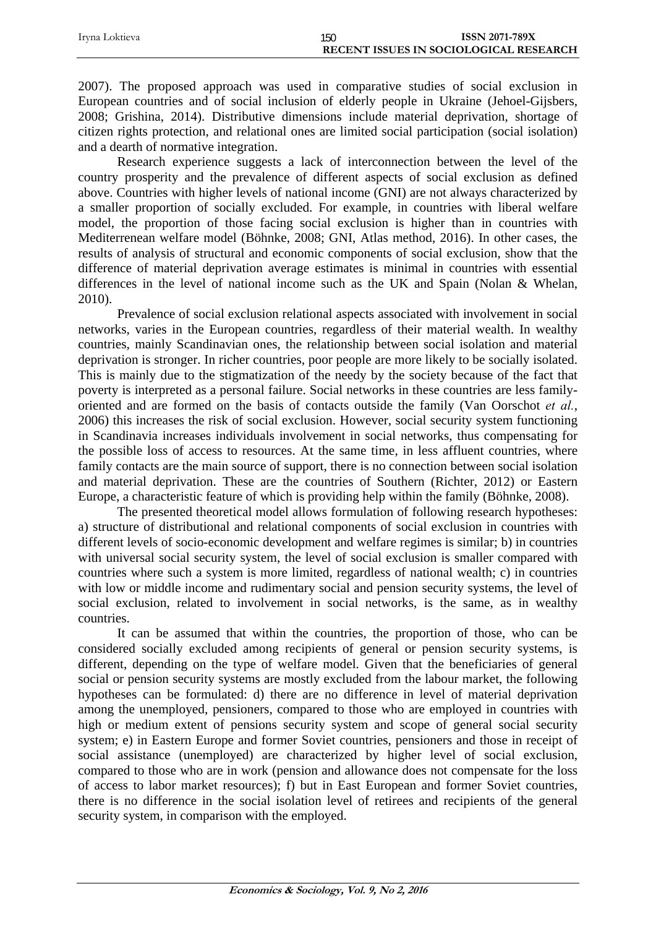| Irvna Loktieva | 150                                    | ISSN 2071-789X |
|----------------|----------------------------------------|----------------|
|                | RECENT ISSUES IN SOCIOLOGICAL RESEARCH |                |

2007). The proposed approach was used in comparative studies of social exclusion in European countries and of social inclusion of elderly people in Ukraine (Jehoel-Gijsbers, 2008; Grishina, 2014). Distributive dimensions include material deprivation, shortage of citizen rights protection, and relational ones are limited social participation (social isolation) and a dearth of normative integration.

Research experience suggests a lack of interconnection between the level of the country prosperity and the prevalence of different aspects of social exclusion as defined above. Countries with higher levels of national income (GNI) are not always characterized by a smaller proportion of socially excluded. For example, in countries with liberal welfare model, the proportion of those facing social exclusion is higher than in countries with Mediterrenean welfare model (Böhnke, 2008; GNI, Atlas method, 2016). In other cases, the results of analysis of structural and economic components of social exclusion, show that the difference of material deprivation average estimates is minimal in countries with essential differences in the level of national income such as the UK and Spain (Nolan & Whelan, 2010).

Prevalence of social exclusion relational aspects associated with involvement in social networks, varies in the European countries, regardless of their material wealth. In wealthy countries, mainly Scandinavian ones, the relationship between social isolation and material deprivation is stronger. In richer countries, poor people are more likely to be socially isolated. This is mainly due to the stigmatization of the needy by the society because of the fact that poverty is interpreted as a personal failure. Social networks in these countries are less familyoriented and are formed on the basis of contacts outside the family (Van Oorschot *et al.*, 2006) this increases the risk of social exclusion. However, social security system functioning in Scandinavia increases individuals involvement in social networks, thus compensating for the possible loss of access to resources. At the same time, in less affluent countries, where family contacts are the main source of support, there is no connection between social isolation and material deprivation. These are the countries of Southern (Richter, 2012) or Eastern Europe, a characteristic feature of which is providing help within the family (Böhnke, 2008).

The presented theoretical model allows formulation of following research hypotheses: a) structure of distributional and relational components of social exclusion in countries with different levels of socio-economic development and welfare regimes is similar; b) in countries with universal social security system, the level of social exclusion is smaller compared with countries where such a system is more limited, regardless of national wealth; c) in countries with low or middle income and rudimentary social and pension security systems, the level of social exclusion, related to involvement in social networks, is the same, as in wealthy countries.

It can be assumed that within the countries, the proportion of those, who can be considered socially excluded among recipients of general or pension security systems, is different, depending on the type of welfare model. Given that the beneficiaries of general social or pension security systems are mostly excluded from the labour market, the following hypotheses can be formulated: d) there are no difference in level of material deprivation among the unemployed, pensioners, compared to those who are employed in countries with high or medium extent of pensions security system and scope of general social security system; e) in Eastern Europe and former Soviet countries, pensioners and those in receipt of social assistance (unemployed) are characterized by higher level of social exclusion, compared to those who are in work (pension and allowance does not compensate for the loss of access to labor market resources); f) but in East European and former Soviet countries, there is no difference in the social isolation level of retirees and recipients of the general security system, in comparison with the employed.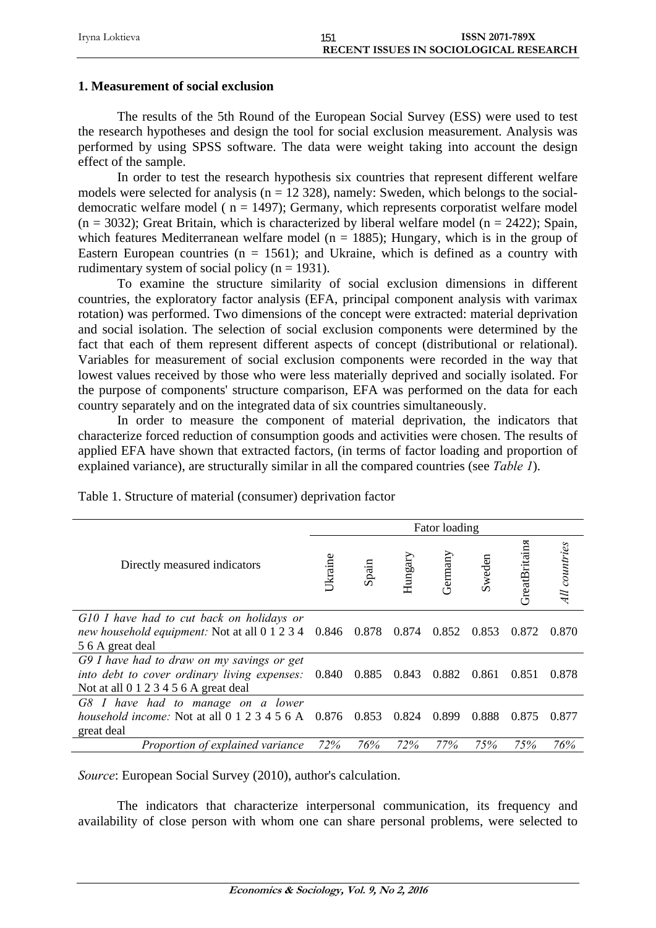| Irvna Loktieva |                                        | <b>ISSN 2071-789X</b> |
|----------------|----------------------------------------|-----------------------|
|                | RECENT ISSUES IN SOCIOLOGICAL RESEARCH |                       |

### **1. Measurement of social exclusion**

The results of the 5th Round of the European Social Survey (ESS) were used to test the research hypotheses and design the tool for social exclusion measurement. Analysis was performed by using SPSS software. The data were weight taking into account the design effect of the sample.

In order to test the research hypothesis six countries that represent different welfare models were selected for analysis ( $n = 12$  328), namely: Sweden, which belongs to the socialdemocratic welfare model ( $n = 1497$ ); Germany, which represents corporatist welfare model  $(n = 3032)$ ; Great Britain, which is characterized by liberal welfare model  $(n = 2422)$ ; Spain, which features Mediterranean welfare model ( $n = 1885$ ); Hungary, which is in the group of Eastern European countries ( $n = 1561$ ); and Ukraine, which is defined as a country with rudimentary system of social policy ( $n = 1931$ ).

To examine the structure similarity of social exclusion dimensions in different countries, the exploratory factor analysis (EFA, principal component analysis with varimax rotation) was performed. Two dimensions of the concept were extracted: material deprivation and social isolation. The selection of social exclusion components were determined by the fact that each of them represent different aspects of concept (distributional or relational). Variables for measurement of social exclusion components were recorded in the way that lowest values received by those who were less materially deprived and socially isolated. For the purpose of components' structure comparison, EFA was performed on the data for each country separately and on the integrated data of six countries simultaneously.

In order to measure the component of material deprivation, the indicators that characterize forced reduction of consumption goods and activities were chosen. The results of applied EFA have shown that extracted factors, (in terms of factor loading and proportion of explained variance), are structurally similar in all the compared countries (see *Table 1*).

|                                                                                                                                       |                |       |         | Fator loading |        |               |               |
|---------------------------------------------------------------------------------------------------------------------------------------|----------------|-------|---------|---------------|--------|---------------|---------------|
| Directly measured indicators                                                                                                          | <b>Jkraine</b> | Spain | Hungary | Germany       | Sweden | GreatBritains | All countries |
| G10 I have had to cut back on holidays or<br>new household equipment: Not at all 0 1 2 3 4<br>5 6 A great deal                        | 0.846 0.878    |       | 0.874   | 0.852         | 0.853  | 0.872         | 0.870         |
| G9 I have had to draw on my savings or get<br>into debt to cover ordinary living expenses:<br>Not at all $0 1 2 3 4 5 6 A$ great deal | 0.840          | 0.885 | 0.843   | 0.882         | 0.861  | 0.851         | 0.878         |
| G8 I have had to manage on a lower<br>household income: Not at all 0 1 2 3 4 5 6 A<br>great deal                                      | 0.876          | 0.853 | 0.824   | 0.899         | 0.888  | 0.875         | 0.877         |
| Proportion of explained variance                                                                                                      | 72%            | 76%   | 72%     | 77%           | 75%    | 75%           | 76%           |

Table 1. Structure of material (consumer) deprivation factor

*Source*: European Social Survey (2010), author's calculation.

The indicators that characterize interpersonal communication, its frequency and availability of close person with whom one can share personal problems, were selected to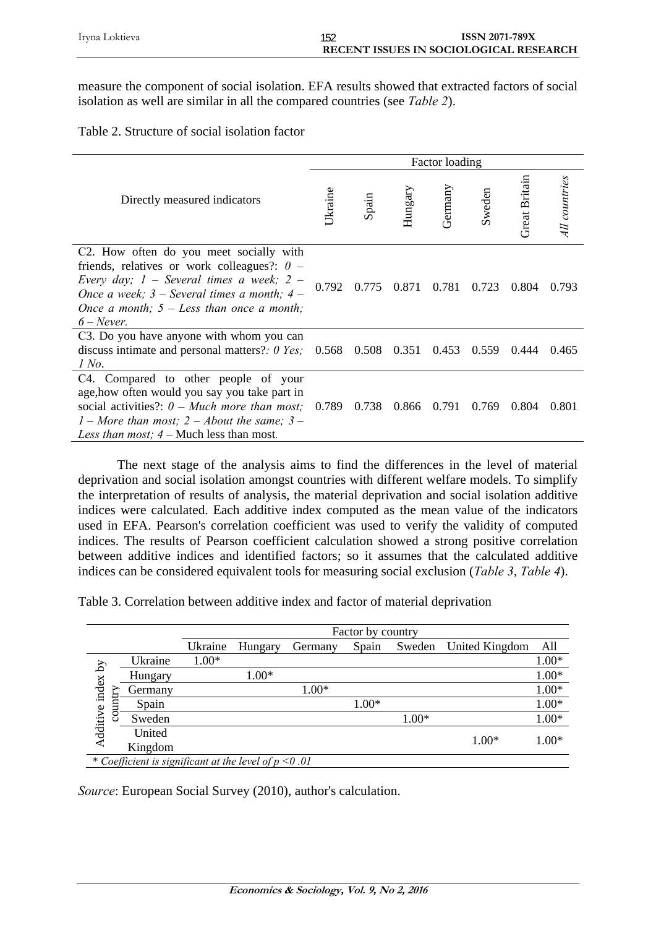measure the component of social isolation. EFA results showed that extracted factors of social isolation as well are similar in all the compared countries (see *Table 2*).

|  | Table 2. Structure of social isolation factor |  |  |  |
|--|-----------------------------------------------|--|--|--|
|--|-----------------------------------------------|--|--|--|

|                                                                                                                                                                                                                                                                         |                |       |             | Factor loading |        |               |               |
|-------------------------------------------------------------------------------------------------------------------------------------------------------------------------------------------------------------------------------------------------------------------------|----------------|-------|-------------|----------------|--------|---------------|---------------|
| Directly measured indicators                                                                                                                                                                                                                                            | <b>Jkraine</b> | Spain | Hungary     | Germany        | Sweden | Great Britain | All countries |
| C <sub>2</sub> . How often do you meet socially with<br>friends, relatives or work colleagues?: $0 -$<br>Every day; $1$ – Several times a week; $2$ –<br>Once a week; $3$ – Several times a month; $4$ –<br>Once a month; $5 - Less$ than once a month;<br>$6$ – Never. | 0.792          | 0.775 | 0.871 0.781 |                | 0.723  | 0.804         | 0.793         |
| C3. Do you have anyone with whom you can<br>discuss intimate and personal matters?: $0 \text{ Yes}; 0.568 \quad 0.508 \quad 0.351 \quad 0.453$<br>1 No.                                                                                                                 |                |       |             |                | 0.559  | 0.444         | 0.465         |
| C4. Compared to other people of your<br>age, how often would you say you take part in<br>social activities?: $0$ – Much more than most; 0.789<br>1 – More than most; 2 – About the same; 3 –<br>Less than most; $4$ – Much less than most.                              |                | 0.738 | 0.866       | 0.791          | 0.769  | 0.804         | 0.801         |

The next stage of the analysis aims to find the differences in the level of material deprivation and social isolation amongst countries with different welfare models. To simplify the interpretation of results of analysis, the material deprivation and social isolation additive indices were calculated. Each additive index computed as the mean value of the indicators used in EFA. Pearson's correlation coefficient was used to verify the validity of computed indices. The results of Pearson coefficient calculation showed a strong positive correlation between additive indices and identified factors; so it assumes that the calculated additive indices can be considered equivalent tools for measuring social exclusion (*Table 3*, *Table 4*).

Table 3. Correlation between additive index and factor of material deprivation

|                   |                                                         |         | Factor by country |         |         |         |                |         |
|-------------------|---------------------------------------------------------|---------|-------------------|---------|---------|---------|----------------|---------|
|                   |                                                         | Ukraine | Hungary           | Germany | Spain   | Sweden  | United Kingdom | All     |
|                   | Ukraine                                                 | $1.00*$ |                   |         |         |         |                | $1.00*$ |
|                   | Hungary                                                 |         | $1.00*$           |         |         |         |                | $1.00*$ |
|                   | Germany                                                 |         |                   | 1.00*   |         |         |                | $1.00*$ |
| $_{\rm coun}$     | Spain                                                   |         |                   |         | $1.00*$ |         |                | $1.00*$ |
|                   | Sweden                                                  |         |                   |         |         | $1.00*$ |                | $1.00*$ |
| Additive index by | United                                                  |         |                   |         |         |         | $1.00*$        | $1.00*$ |
|                   | Kingdom                                                 |         |                   |         |         |         |                |         |
|                   | * Coefficient is significant at the level of $p < 0.01$ |         |                   |         |         |         |                |         |

*Source*: European Social Survey (2010), author's calculation.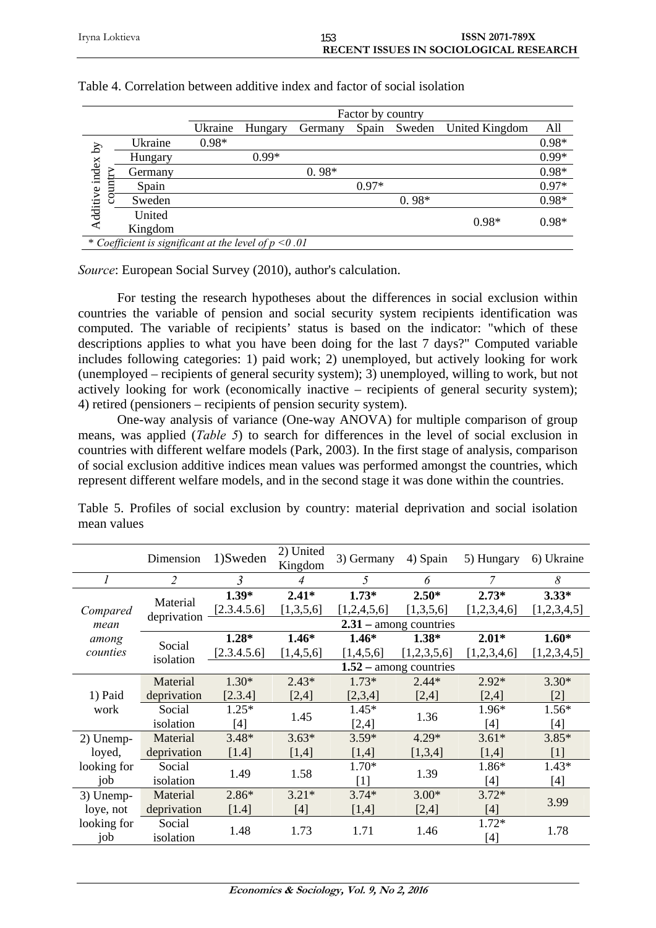|                            |                                                         | Factor by country |         |         |         |         |                |         |
|----------------------------|---------------------------------------------------------|-------------------|---------|---------|---------|---------|----------------|---------|
|                            |                                                         | Ukraine           | Hungary | Germany | Spain   | Sweden  | United Kingdom | All     |
| $\mathcal{S}_{\mathbf{q}}$ | Ukraine                                                 | $0.98*$           |         |         |         |         |                | $0.98*$ |
|                            | Hungary                                                 |                   | $0.99*$ |         |         |         |                | $0.99*$ |
|                            | Germany                                                 |                   |         | $0.98*$ |         |         |                | $0.98*$ |
| Ξ                          | Spain                                                   |                   |         |         | $0.97*$ |         |                | $0.97*$ |
| Additive index<br>g        | Sweden                                                  |                   |         |         |         | $0.98*$ |                | $0.98*$ |
|                            | United                                                  |                   |         |         |         |         | $0.98*$        | $0.98*$ |
|                            | Kingdom                                                 |                   |         |         |         |         |                |         |
|                            | * Coefficient is significant at the level of $p < 0.01$ |                   |         |         |         |         |                |         |

#### Table 4. Correlation between additive index and factor of social isolation

*Source*: European Social Survey (2010), author's calculation.

For testing the research hypotheses about the differences in social exclusion within countries the variable of pension and social security system recipients identification was computed. The variable of recipients' status is based on the indicator: "which of these descriptions applies to what you have been doing for the last 7 days?" Computed variable includes following categories: 1) paid work; 2) unemployed, but actively looking for work (unemployed – recipients of general security system); 3) unemployed, willing to work, but not actively looking for work (economically inactive – recipients of general security system); 4) retired (pensioners – recipients of pension security system).

One-way analysis of variance (One-way ANOVA) for multiple comparison of group means, was applied (*Table 5*) to search for differences in the level of social exclusion in countries with different welfare models (Park, 2003). In the first stage of analysis, comparison of social exclusion additive indices mean values was performed amongst the countries, which represent different welfare models, and in the second stage it was done within the countries.

|             | Dimension      | 1)Sweden    | 2) United<br>Kingdom | 3) Germany  | 4) Spain                 | 5) Hungary  | 6) Ukraine  |
|-------------|----------------|-------------|----------------------|-------------|--------------------------|-------------|-------------|
| 1           | $\overline{2}$ | 3           | 4                    | 5           | 6                        |             | 8           |
|             |                | $1.39*$     | $2.41*$              | $1.73*$     | $2.50*$                  | $2.73*$     | $3.33*$     |
| Compared    | Material       | [2.3.4.5.6] | [1,3,5,6]            | [1,2,4,5,6] | [1,3,5,6]                | [1,2,3,4,6] | [1,2,3,4,5] |
| mean        | deprivation    |             |                      |             | $2.31$ – among countries |             |             |
| among       | Social         | $1.28*$     | $1.46*$              | $1.46*$     | $1.38*$                  | $2.01*$     | $1.60*$     |
| counties    | isolation      | [2.3.4.5.6] | [1,4,5,6]            | [1,4,5,6]   | [1,2,3,5,6]              | [1,2,3,4,6] | [1,2,3,4,5] |
|             |                |             |                      |             | $1.52$ – among countries |             |             |
|             | Material       | $1.30*$     | $2.43*$              | $1.73*$     | $2.44*$                  | $2.92*$     | $3.30*$     |
| 1) Paid     | deprivation    | [2.3.4]     | [2,4]                | [2,3,4]     | [2,4]                    | [2,4]       | $[2]$       |
| work        | Social         | $1.25*$     | 1.45                 | $1.45*$     | 1.36                     | 1.96*       | $1.56*$     |
|             | isolation      | [4]         |                      | [2,4]       |                          | [4]         | [4]         |
| 2) Unemp-   | Material       | $3.48*$     | $3.63*$              | $3.59*$     | $4.29*$                  | $3.61*$     | $3.85*$     |
| loyed,      | deprivation    | [1.4]       | [1,4]                | [1,4]       | [1,3,4]                  | [1,4]       | $[1]$       |
| looking for | Social         | 1.49        | 1.58                 | $1.70*$     | 1.39                     | 1.86*       | $1.43*$     |
| job         | isolation      |             |                      | [1]         |                          | [4]         | $[4]$       |
| 3) Unemp-   | Material       | $2.86*$     | $3.21*$              | $3.74*$     | $3.00*$                  | $3.72*$     | 3.99        |
| loye, not   | deprivation    | $[1.4]$     | [4]                  | [1,4]       | [2,4]                    | [4]         |             |
| looking for | Social         | 1.48        | 1.73                 | 1.71        | 1.46                     | 1.72*       | 1.78        |
| job         | isolation      |             |                      |             |                          | $[4]$       |             |

Table 5. Profiles of social exclusion by country: material deprivation and social isolation mean values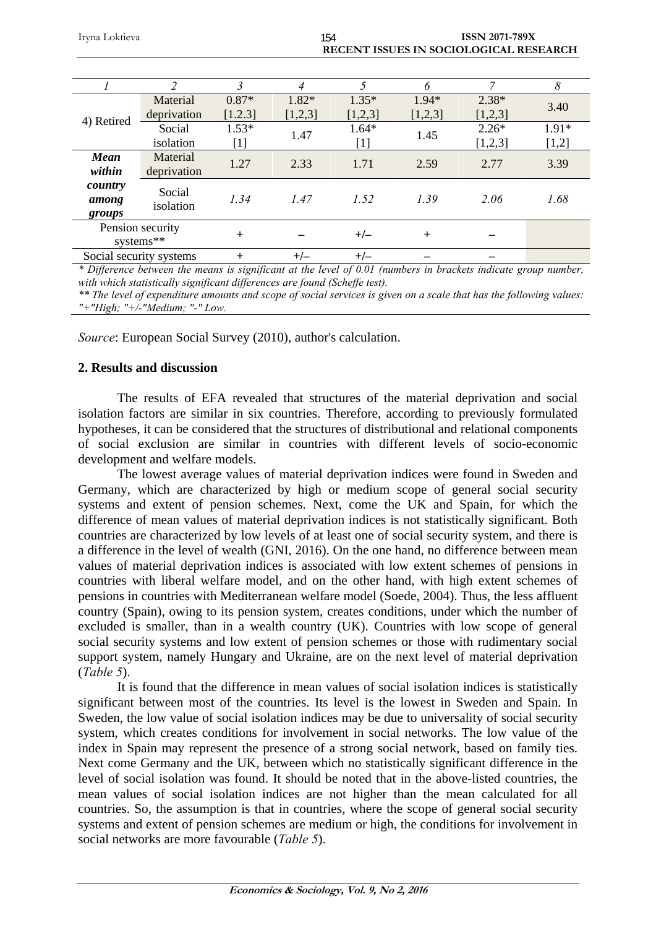| Irvna Loktieva | 154 | <b>ISSN 2071-789X</b>                         |
|----------------|-----|-----------------------------------------------|
|                |     |                                               |
|                |     | <b>RECENT ISSUES IN SOCIOLOGICAL RESEARCH</b> |

|                            | C                             | 3                           |                    | 5                  | 6                  | 7                  | 8                |
|----------------------------|-------------------------------|-----------------------------|--------------------|--------------------|--------------------|--------------------|------------------|
| 4) Retired                 | Material<br>deprivation       | $0.87*$<br>[1.2.3]          | $1.82*$<br>[1,2,3] | $1.35*$<br>[1,2,3] | $1.94*$<br>[1,2,3] | $2.38*$<br>[1,2,3] | 3.40             |
|                            | Social<br>isolation           | $1.53*$<br>$\left[1\right]$ | 1.47               | $1.64*$<br>[1]     | 1.45               | $2.26*$<br>[1,2,3] | $1.91*$<br>[1,2] |
| <b>Mean</b><br>within      | Material<br>deprivation       | 1.27                        | 2.33               | 1.71               | 2.59               | 2.77               | 3.39             |
| country<br>among<br>groups | Social<br>isolation           | 1.34                        | 1.47               | 1.52               | 1.39               | 2.06               | 1.68             |
|                            | Pension security<br>systems** | $^{+}$                      |                    | $+/-$              | $^{+}$             |                    |                  |
|                            | Social security systems       | $\pm$                       | $+/-$              | $+/-$              |                    |                    |                  |

*\* Difference between the means is significant at the level of 0.01 (numbers in brackets indicate group number, with which statistically significant differences are found (Scheffe test).* 

*\*\* The level of expenditure amounts and scope of social services is given on a scale that has the following values: "+"High; "+/-"Medium; "-" Low.*

*Source*: European Social Survey (2010), author's calculation.

#### **2. Results and discussion**

The results of EFA revealed that structures of the material deprivation and social isolation factors are similar in six countries. Therefore, according to previously formulated hypotheses, it can be considered that the structures of distributional and relational components of social exclusion are similar in countries with different levels of socio-economic development and welfare models.

The lowest average values of material deprivation indices were found in Sweden and Germany, which are characterized by high or medium scope of general social security systems and extent of pension schemes. Next, come the UK and Spain, for which the difference of mean values of material deprivation indices is not statistically significant. Both countries are characterized by low levels of at least one of social security system, and there is a difference in the level of wealth (GNI, 2016). On the one hand, no difference between mean values of material deprivation indices is associated with low extent schemes of pensions in countries with liberal welfare model, and on the other hand, with high extent schemes of pensions in countries with Mediterranean welfare model (Soede, 2004). Thus, the less affluent country (Spain), owing to its pension system, creates conditions, under which the number of excluded is smaller, than in a wealth country (UK). Countries with low scope of general social security systems and low extent of pension schemes or those with rudimentary social support system, namely Hungary and Ukraine, are on the next level of material deprivation (*Table 5*).

It is found that the difference in mean values of social isolation indices is statistically significant between most of the countries. Its level is the lowest in Sweden and Spain. In Sweden, the low value of social isolation indices may be due to universality of social security system, which creates conditions for involvement in social networks. The low value of the index in Spain may represent the presence of a strong social network, based on family ties. Next come Germany and the UK, between which no statistically significant difference in the level of social isolation was found. It should be noted that in the above-listed countries, the mean values of social isolation indices are not higher than the mean calculated for all countries. So, the assumption is that in countries, where the scope of general social security systems and extent of pension schemes are medium or high, the conditions for involvement in social networks are more favourable (*Table 5*).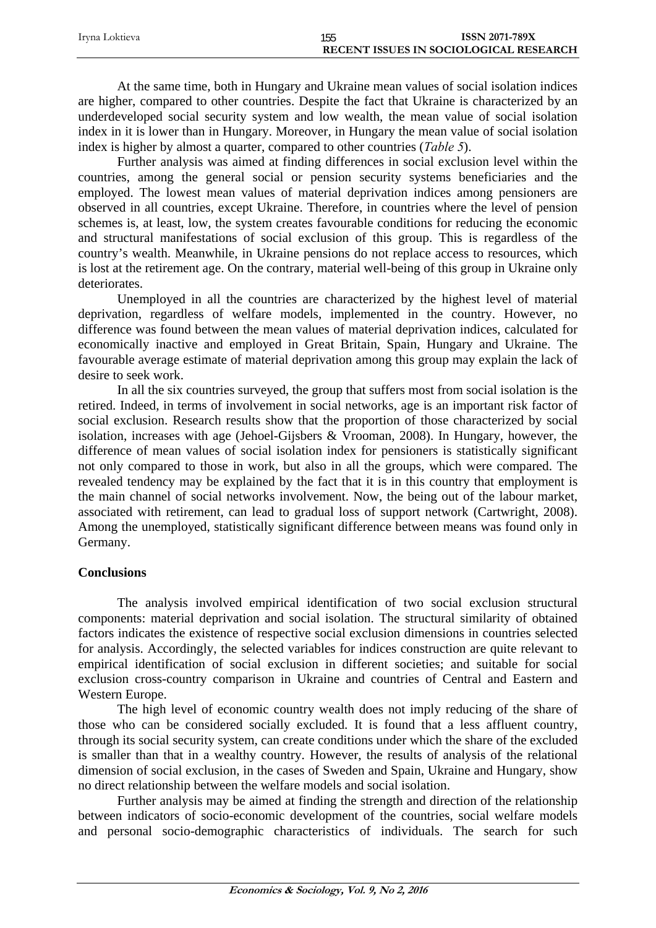| Irvna Loktieva | 155                                    | <b>ISSN 2071-789X</b> |
|----------------|----------------------------------------|-----------------------|
|                | RECENT ISSUES IN SOCIOLOGICAL RESEARCH |                       |

At the same time, both in Hungary and Ukraine mean values of social isolation indices are higher, compared to other countries. Despite the fact that Ukraine is characterized by an underdeveloped social security system and low wealth, the mean value of social isolation index in it is lower than in Hungary. Moreover, in Hungary the mean value of social isolation index is higher by almost a quarter, compared to other countries (*Table 5*).

Further analysis was aimed at finding differences in social exclusion level within the countries, among the general social or pension security systems beneficiaries and the employed. The lowest mean values of material deprivation indices among pensioners are observed in all countries, except Ukraine. Therefore, in countries where the level of pension schemes is, at least, low, the system creates favourable conditions for reducing the economic and structural manifestations of social exclusion of this group. This is regardless of the country's wealth. Meanwhile, in Ukraine pensions do not replace access to resources, which is lost at the retirement age. On the contrary, material well-being of this group in Ukraine only deteriorates.

Unemployed in all the countries are characterized by the highest level of material deprivation, regardless of welfare models, implemented in the country. However, no difference was found between the mean values of material deprivation indices, calculated for economically inactive and employed in Great Britain, Spain, Hungary and Ukraine. The favourable average estimate of material deprivation among this group may explain the lack of desire to seek work.

In all the six countries surveyed, the group that suffers most from social isolation is the retired. Indeed, in terms of involvement in social networks, age is an important risk factor of social exclusion. Research results show that the proportion of those characterized by social isolation, increases with age (Jehoel-Gijsbers & Vrooman, 2008). In Hungary, however, the difference of mean values of social isolation index for pensioners is statistically significant not only compared to those in work, but also in all the groups, which were compared. The revealed tendency may be explained by the fact that it is in this country that employment is the main channel of social networks involvement. Now, the being out of the labour market, associated with retirement, can lead to gradual loss of support network (Cartwright, 2008). Among the unemployed, statistically significant difference between means was found only in Germany.

## **Conclusions**

The analysis involved empirical identification of two social exclusion structural components: material deprivation and social isolation. The structural similarity of obtained factors indicates the existence of respective social exclusion dimensions in countries selected for analysis. Accordingly, the selected variables for indices construction are quite relevant to empirical identification of social exclusion in different societies; and suitable for social exclusion cross-country comparison in Ukraine and countries of Central and Eastern and Western Europe.

The high level of economic country wealth does not imply reducing of the share of those who can be considered socially excluded. It is found that a less affluent country, through its social security system, can create conditions under which the share of the excluded is smaller than that in a wealthy country. However, the results of analysis of the relational dimension of social exclusion, in the cases of Sweden and Spain, Ukraine and Hungary, show no direct relationship between the welfare models and social isolation.

Further analysis may be aimed at finding the strength and direction of the relationship between indicators of socio-economic development of the countries, social welfare models and personal socio-demographic characteristics of individuals. The search for such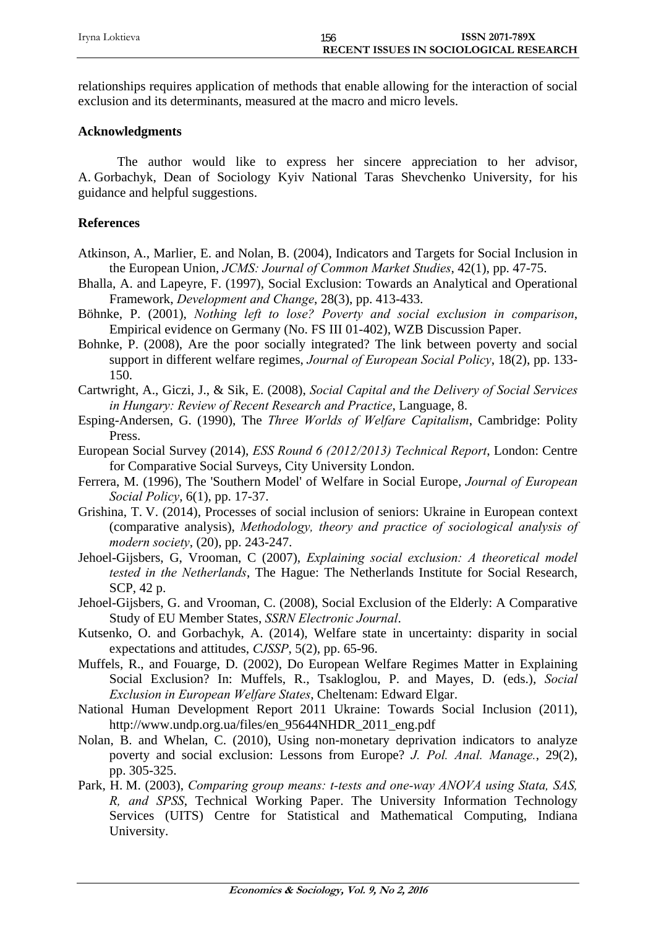relationships requires application of methods that enable allowing for the interaction of social exclusion and its determinants, measured at the macro and micro levels.

### **Acknowledgments**

The author would like to express her sincere appreciation to her advisor, A. Gorbachyk, Dean of Sociology Kyiv National Taras Shevchenko University, for his guidance and helpful suggestions.

## **References**

- Atkinson, A., Marlier, E. and Nolan, B. (2004), Indicators and Targets for Social Inclusion in the European Union, *JCMS: Journal of Common Market Studies*, 42(1), pp. 47-75.
- Bhalla, A. and Lapeyre, F. (1997), Social Exclusion: Towards an Analytical and Operational Framework, *Development and Change*, 28(3), pp. 413-433.
- Böhnke, P. (2001), *Nothing left to lose? Poverty and social exclusion in comparison*, Empirical evidence on Germany (No. FS III 01-402), WZB Discussion Paper.
- Bohnke, P. (2008), Are the poor socially integrated? The link between poverty and social support in different welfare regimes, *Journal of European Social Policy*, 18(2), pp. 133- 150.
- Cartwright, A., Giczi, J., & Sik, E. (2008), *Social Capital and the Delivery of Social Services in Hungary: Review of Recent Research and Practice*, Language, 8.
- Esping-Andersen, G. (1990), The *Three Worlds of Welfare Capitalism*, Cambridge: Polity Press.
- European Social Survey (2014), *ESS Round 6 (2012/2013) Technical Report*, London: Centre for Comparative Social Surveys, City University London.
- Ferrera, M. (1996), The 'Southern Model' of Welfare in Social Europe, *Journal of European Social Policy*, 6(1), pp. 17-37.
- Grishina, T. V. (2014), Processes of social inclusion of seniors: Ukraine in European context (comparative analysis), *Methodology, theory and practice of sociological analysis of modern society*, (20), pp. 243-247.
- Jehoel-Gijsbers, G, Vrooman, C (2007), *Explaining social exclusion: A theoretical model tested in the Netherlands*, The Hague: The Netherlands Institute for Social Research, SCP, 42 p.
- Jehoel-Gijsbers, G. and Vrooman, C. (2008), Social Exclusion of the Elderly: A Comparative Study of EU Member States, *SSRN Electronic Journal*.
- Kutsenko, O. and Gorbachyk, A. (2014), Welfare state in uncertainty: disparity in social expectations and attitudes, *CJSSP*, 5(2), pp. 65-96.
- Muffels, R., and Fouarge, D. (2002), Do European Welfare Regimes Matter in Explaining Social Exclusion? In: Muffels, R., Tsakloglou, P. and Mayes, D. (eds.), *Social Exclusion in European Welfare States*, Cheltenam: Edward Elgar.
- National Human Development Report 2011 Ukraine: Towards Social Inclusion (2011), http://www.undp.org.ua/files/en\_95644NHDR\_2011\_eng.pdf
- Nolan, B. and Whelan, C. (2010), Using non-monetary deprivation indicators to analyze poverty and social exclusion: Lessons from Europe? *J. Pol. Anal. Manage.*, 29(2), pp. 305-325.
- Park, H. M. (2003), *Comparing group means: t-tests and one-way ANOVA using Stata, SAS, R, and SPSS*, Technical Working Paper. The University Information Technology Services (UITS) Centre for Statistical and Mathematical Computing, Indiana University.